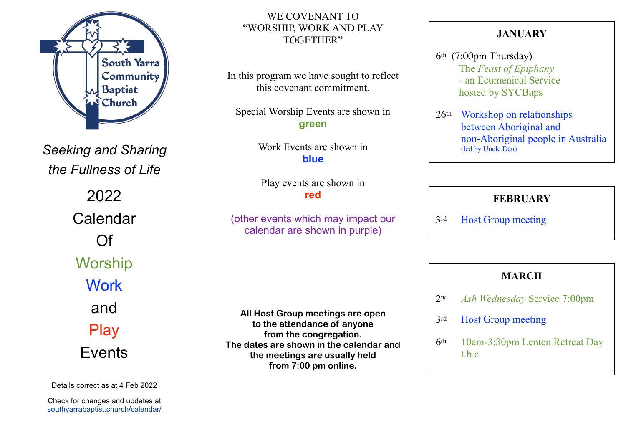

*Seeking and Sharing the Fullness of Life*

> 2022 Calendar Of **Worship Work** and Play Events

Details correct as at 4 Feb 2022

Check for changes and updates at southyarrabaptist.church/calendar/

#### WE COVENANT TO "WORSHIP, WORK AND PLAY TOGETHER"

In this program we have sought to reflect this covenant commitment.

Special Worship Events are shown in **green**

> Work Events are shown in **blue**

Play events are shown in **red**

(other events which may impact our calendar are shown in purple)

**All Host Group meetings are open to the attendance of anyone from the congregation. The dates are shown in the calendar and the meetings are usually held from 7:00 pm online.** 

#### **JANUARY**

- 6th (7:00pm Thursday) The *Feast of Epiphany* - an Ecumenical Service hosted by SYCBaps
- 26th Workshop on relationships between Aboriginal and non-Aboriginal people in Australia (led by Uncle Den)

#### **FEBRUARY**

3rd Host Group meeting

# **MARCH**

- 2nd *Ash Wednesday* Service 7:00pm
- 3rd Host Group meeting
- 6th 10am-3:30pm Lenten Retreat Day t.b.c